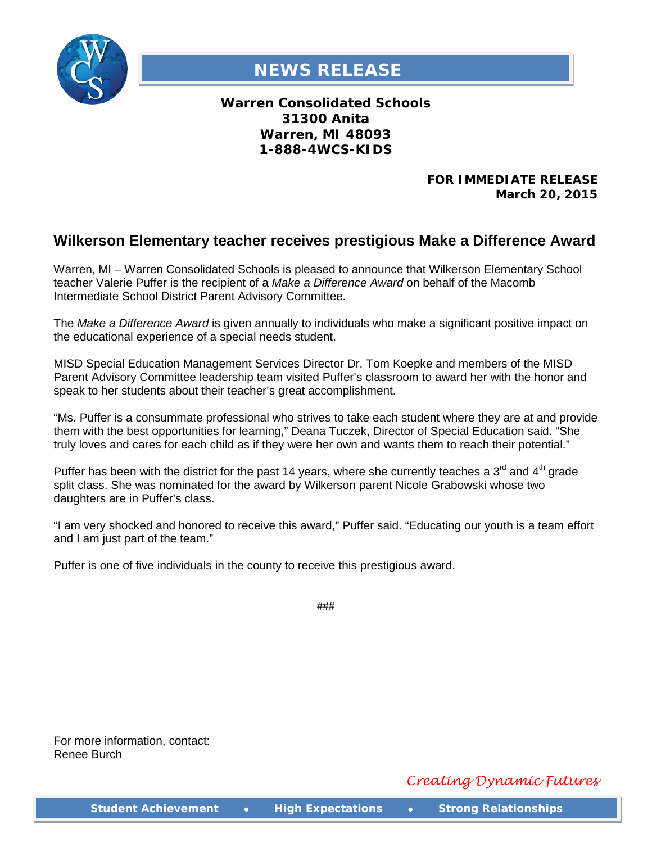

## **NEWS RELEASE**

**Warren Consolidated Schools 31300 Anita Warren, MI 48093 1-888-4WCS-KIDS**

> **FOR IMMEDIATE RELEASE March 20, 2015**

## **Wilkerson Elementary teacher receives prestigious Make a Difference Award**

Warren, MI – Warren Consolidated Schools is pleased to announce that Wilkerson Elementary School teacher Valerie Puffer is the recipient of a *Make a Difference Award* on behalf of the Macomb Intermediate School District Parent Advisory Committee.

The *Make a Difference Award* is given annually to individuals who make a significant positive impact on the educational experience of a special needs student.

MISD Special Education Management Services Director Dr. Tom Koepke and members of the MISD Parent Advisory Committee leadership team visited Puffer's classroom to award her with the honor and speak to her students about their teacher's great accomplishment.

"Ms. Puffer is a consummate professional who strives to take each student where they are at and provide them with the best opportunities for learning," Deana Tuczek, Director of Special Education said. "She truly loves and cares for each child as if they were her own and wants them to reach their potential."

Puffer has been with the district for the past 14 years, where she currently teaches a  $3<sup>rd</sup>$  and  $4<sup>th</sup>$  grade split class. She was nominated for the award by Wilkerson parent Nicole Grabowski whose two daughters are in Puffer's class.

"I am very shocked and honored to receive this award," Puffer said. "Educating our youth is a team effort and I am just part of the team."

Puffer is one of five individuals in the county to receive this prestigious award.

###

For more information, contact: Renee Burch

*Creating Dynamic Futures*